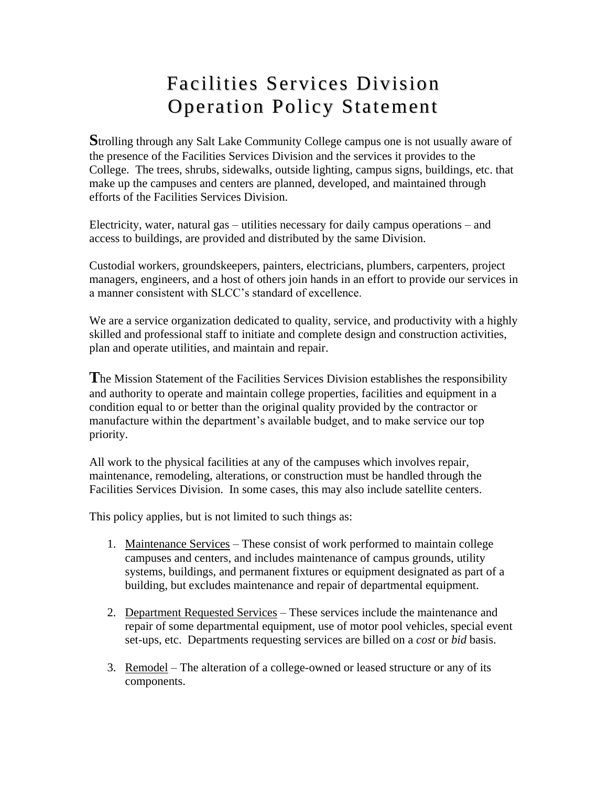## Facilities Services Division Operation Policy Statement

**S**trolling through any Salt Lake Community College campus one is not usually aware of the presence of the Facilities Services Division and the services it provides to the College. The trees, shrubs, sidewalks, outside lighting, campus signs, buildings, etc. that make up the campuses and centers are planned, developed, and maintained through efforts of the Facilities Services Division.

Electricity, water, natural gas – utilities necessary for daily campus operations – and access to buildings, are provided and distributed by the same Division.

Custodial workers, groundskeepers, painters, electricians, plumbers, carpenters, project managers, engineers, and a host of others join hands in an effort to provide our services in a manner consistent with SLCC's standard of excellence.

We are a service organization dedicated to quality, service, and productivity with a highly skilled and professional staff to initiate and complete design and construction activities, plan and operate utilities, and maintain and repair.

**T**he Mission Statement of the Facilities Services Division establishes the responsibility and authority to operate and maintain college properties, facilities and equipment in a condition equal to or better than the original quality provided by the contractor or manufacture within the department's available budget, and to make service our top priority.

All work to the physical facilities at any of the campuses which involves repair, maintenance, remodeling, alterations, or construction must be handled through the Facilities Services Division. In some cases, this may also include satellite centers.

This policy applies, but is not limited to such things as:

- 1. Maintenance Services These consist of work performed to maintain college campuses and centers, and includes maintenance of campus grounds, utility systems, buildings, and permanent fixtures or equipment designated as part of a building, but excludes maintenance and repair of departmental equipment.
- 2. Department Requested Services These services include the maintenance and repair of some departmental equipment, use of motor pool vehicles, special event set-ups, etc. Departments requesting services are billed on a *cost* or *bid* basis.
- 3. Remodel The alteration of a college-owned or leased structure or any of its components.